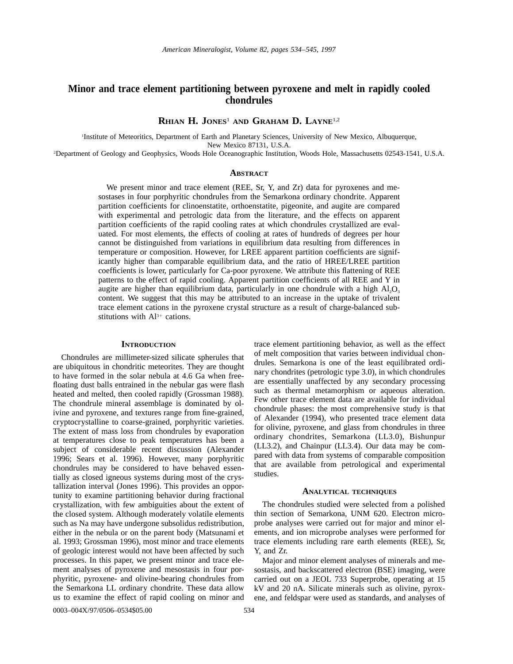# **Minor and trace element partitioning between pyroxene and melt in rapidly cooled chondrules**

**RHIAN H. JONES**<sup>1</sup> **AND GRAHAM D. LAYNE**1,2

1 Institute of Meteoritics, Department of Earth and Planetary Sciences, University of New Mexico, Albuquerque, New Mexico 87131, U.S.A.

2 Department of Geology and Geophysics, Woods Hole Oceanographic Institution, Woods Hole, Massachusetts 02543-1541, U.S.A.

# **ABSTRACT**

We present minor and trace element (REE, Sr, Y, and Zr) data for pyroxenes and mesostases in four porphyritic chondrules from the Semarkona ordinary chondrite. Apparent partition coefficients for clinoenstatite, orthoenstatite, pigeonite, and augite are compared with experimental and petrologic data from the literature, and the effects on apparent partition coefficients of the rapid cooling rates at which chondrules crystallized are evaluated. For most elements, the effects of cooling at rates of hundreds of degrees per hour cannot be distinguished from variations in equilibrium data resulting from differences in temperature or composition. However, for LREE apparent partition coefficients are significantly higher than comparable equilibrium data, and the ratio of HREE/LREE partition coefficients is lower, particularly for Ca-poor pyroxene. We attribute this flattening of REE patterns to the effect of rapid cooling. Apparent partition coefficients of all REE and Y in augite are higher than equilibrium data, particularly in one chondrule with a high  $A I_2 O_3$ content. We suggest that this may be attributed to an increase in the uptake of trivalent trace element cations in the pyroxene crystal structure as a result of charge-balanced substitutions with  $Al^{3+}$  cations.

## **INTRODUCTION**

Chondrules are millimeter-sized silicate spherules that are ubiquitous in chondritic meteorites. They are thought to have formed in the solar nebula at 4.6 Ga when freefloating dust balls entrained in the nebular gas were flash heated and melted, then cooled rapidly (Grossman 1988). The chondrule mineral assemblage is dominated by olivine and pyroxene, and textures range from fine-grained, cryptocrystalline to coarse-grained, porphyritic varieties. The extent of mass loss from chondrules by evaporation at temperatures close to peak temperatures has been a subject of considerable recent discussion (Alexander 1996; Sears et al. 1996). However, many porphyritic chondrules may be considered to have behaved essentially as closed igneous systems during most of the crystallization interval (Jones 1996). This provides an opportunity to examine partitioning behavior during fractional crystallization, with few ambiguities about the extent of the closed system. Although moderately volatile elements such as Na may have undergone subsolidus redistribution, either in the nebula or on the parent body (Matsunami et al. 1993; Grossman 1996), most minor and trace elements of geologic interest would not have been affected by such processes. In this paper, we present minor and trace element analyses of pyroxene and mesostasis in four porphyritic, pyroxene- and olivine-bearing chondrules from the Semarkona LL ordinary chondrite. These data allow us to examine the effect of rapid cooling on minor and

trace element partitioning behavior, as well as the effect of melt composition that varies between individual chondrules. Semarkona is one of the least equilibrated ordinary chondrites (petrologic type 3.0), in which chondrules are essentially unaffected by any secondary processing such as thermal metamorphism or aqueous alteration. Few other trace element data are available for individual chondrule phases: the most comprehensive study is that of Alexander (1994), who presented trace element data for olivine, pyroxene, and glass from chondrules in three ordinary chondrites, Semarkona (LL3.0), Bishunpur (LL3.2), and Chainpur (LL3.4). Our data may be compared with data from systems of comparable composition that are available from petrological and experimental studies.

# **ANALYTICAL TECHNIQUES**

The chondrules studied were selected from a polished thin section of Semarkona, UNM 620. Electron microprobe analyses were carried out for major and minor elements, and ion microprobe analyses were performed for trace elements including rare earth elements (REE), Sr, Y, and Zr.

Major and minor element analyses of minerals and mesostasis, and backscattered electron (BSE) imaging, were carried out on a JEOL 733 Superprobe, operating at 15 kV and 20 nA. Silicate minerals such as olivine, pyroxene, and feldspar were used as standards, and analyses of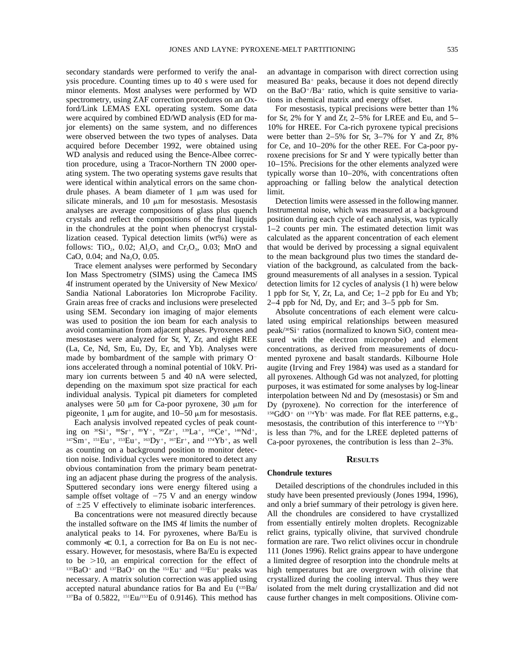secondary standards were performed to verify the analysis procedure. Counting times up to 40 s were used for minor elements. Most analyses were performed by WD spectrometry, using ZAF correction procedures on an Oxford/Link LEMAS EXL operating system. Some data were acquired by combined ED/WD analysis (ED for major elements) on the same system, and no differences were observed between the two types of analyses. Data acquired before December 1992, were obtained using WD analysis and reduced using the Bence-Albee correction procedure, using a Tracor-Northern TN 2000 operating system. The two operating systems gave results that were identical within analytical errors on the same chondrule phases. A beam diameter of  $1 \mu m$  was used for silicate minerals, and 10  $\mu$ m for mesostasis. Mesostasis analyses are average compositions of glass plus quench crystals and reflect the compositions of the final liquids in the chondrules at the point when phenocryst crystallization ceased. Typical detection limits (wt%) were as follows: TiO<sub>2</sub>, 0.02; Al<sub>2</sub>O<sub>3</sub> and Cr<sub>2</sub>O<sub>3</sub>, 0.03; MnO and CaO,  $0.04$ ; and Na<sub>2</sub>O,  $0.05$ .

Trace element analyses were performed by Secondary Ion Mass Spectrometry (SIMS) using the Cameca IMS 4f instrument operated by the University of New Mexico/ Sandia National Laboratories Ion Microprobe Facility. Grain areas free of cracks and inclusions were preselected using SEM. Secondary ion imaging of major elements was used to position the ion beam for each analysis to avoid contamination from adjacent phases. Pyroxenes and mesostases were analyzed for Sr, Y, Zr, and eight REE (La, Ce, Nd, Sm, Eu, Dy, Er, and Yb). Analyses were made by bombardment of the sample with primary  $O$ ions accelerated through a nominal potential of 10kV. Primary ion currents between 5 and 40 nA were selected, depending on the maximum spot size practical for each individual analysis. Typical pit diameters for completed analyses were 50  $\mu$ m for Ca-poor pyroxene, 30  $\mu$ m for pigeonite, 1  $\mu$ m for augite, and 10–50  $\mu$ m for mesostasis.

Each analysis involved repeated cycles of peak counting on  ${}^{30}Si^+,$   ${}^{88}Sr^+,$   ${}^{89}Y^+,$   ${}^{90}Zr^+,$   ${}^{139}La^+,$   ${}^{140}Ce^+,$   ${}^{146}Nd^+,$  $147\text{Sm}^+$ ,  $151\text{Eu}^+$ ,  $153\text{Eu}^+$ ,  $163\text{Dy}^+$ ,  $167\text{Er}^+$ , and  $174\text{Yb}^+$ , as well as counting on a background position to monitor detection noise. Individual cycles were monitored to detect any obvious contamination from the primary beam penetrating an adjacent phase during the progress of the analysis. Sputtered secondary ions were energy filtered using a sample offset voltage of  $-75$  V and an energy window of  $\pm 25$  V effectively to eliminate isobaric interferences.

Ba concentrations were not measured directly because the installed software on the IMS 4f limits the number of analytical peaks to 14. For pyroxenes, where Ba/Eu is commonly  $\ll 0.1$ , a correction for Ba on Eu is not necessary. However, for mesostasis, where Ba/Eu is expected to be  $>10$ , an empirical correction for the effect of  $135BaO<sup>+</sup>$  and  $137BaO<sup>+</sup>$  on the  $151Eu<sup>+</sup>$  and  $153Eu<sup>+</sup>$  peaks was necessary. A matrix solution correction was applied using accepted natural abundance ratios for Ba and Eu (135Ba/ 137Ba of 0.5822, 151Eu/153Eu of 0.9146). This method has

an advantage in comparison with direct correction using measured  $Ba<sup>+</sup>$  peaks, because it does not depend directly on the BaO<sup>+</sup>/Ba<sup>+</sup> ratio, which is quite sensitive to variations in chemical matrix and energy offset.

For mesostasis, typical precisions were better than 1% for Sr, 2% for Y and Zr, 2–5% for LREE and Eu, and 5– 10% for HREE. For Ca-rich pyroxene typical precisions were better than 2–5% for Sr, 3–7% for Y and Zr, 8% for Ce, and 10–20% for the other REE. For Ca-poor pyroxene precisions for Sr and Y were typically better than 10–15%. Precisions for the other elements analyzed were typically worse than 10–20%, with concentrations often approaching or falling below the analytical detection limit.

Detection limits were assessed in the following manner. Instrumental noise, which was measured at a background position during each cycle of each analysis, was typically 1–2 counts per min. The estimated detection limit was calculated as the apparent concentration of each element that would be derived by processing a signal equivalent to the mean background plus two times the standard deviation of the background, as calculated from the background measurements of all analyses in a session. Typical detection limits for 12 cycles of analysis (1 h) were below 1 ppb for Sr, Y, Zr, La, and Ce; 1–2 ppb for Eu and Yb; 2–4 ppb for Nd, Dy, and Er; and 3–5 ppb for Sm.

Absolute concentrations of each element were calculated using empirical relationships between measured peak/ $30Si^+$  ratios (normalized to known  $SiO_2$  content measured with the electron microprobe) and element concentrations, as derived from measurements of documented pyroxene and basalt standards. Kilbourne Hole augite (Irving and Frey 1984) was used as a standard for all pyroxenes. Although Gd was not analyzed, for plotting purposes, it was estimated for some analyses by log-linear interpolation between Nd and Dy (mesostasis) or Sm and Dy (pyroxene). No correction for the interference of  $158GdO^+$  on  $174Yb^+$  was made. For flat REE patterns, e.g., mesostasis, the contribution of this interference to  $174 \text{Yb}^+$ is less than 7%, and for the LREE depleted patterns of Ca-poor pyroxenes, the contribution is less than 2–3%.

### **RESULTS**

### **Chondrule textures**

Detailed descriptions of the chondrules included in this study have been presented previously (Jones 1994, 1996), and only a brief summary of their petrology is given here. All the chondrules are considered to have crystallized from essentially entirely molten droplets. Recognizable relict grains, typically olivine, that survived chondrule formation are rare. Two relict olivines occur in chondrule 111 (Jones 1996). Relict grains appear to have undergone a limited degree of resorption into the chondrule melts at high temperatures but are overgrown with olivine that crystallized during the cooling interval. Thus they were isolated from the melt during crystallization and did not cause further changes in melt compositions. Olivine com-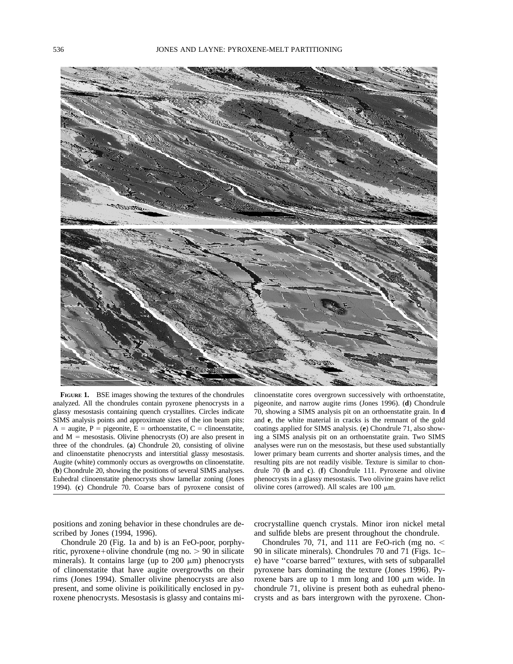

**FIGURE 1.** BSE images showing the textures of the chondrules analyzed. All the chondrules contain pyroxene phenocrysts in a glassy mesostasis containing quench crystallites. Circles indicate SIMS analysis points and approximate sizes of the ion beam pits:  $A = \text{augite}, P = \text{pigeonite}, E = \text{orthoenstative}, C = \text{clinoenstative},$ and  $M =$  mesostasis. Olivine phenocrysts  $(O)$  are also present in three of the chondrules. (**a**) Chondrule 20, consisting of olivine and clinoenstatite phenocrysts and interstitial glassy mesostasis. Augite (white) commonly occurs as overgrowths on clinoenstatite. (**b**) Chondrule 20, showing the positions of several SIMS analyses. Euhedral clinoenstatite phenocrysts show lamellar zoning (Jones 1994). (**c**) Chondrule 70. Coarse bars of pyroxene consist of

clinoenstatite cores overgrown successively with orthoenstatite, pigeonite, and narrow augite rims (Jones 1996). (**d**) Chondrule 70, showing a SIMS analysis pit on an orthoenstatite grain. In **d** and **e**, the white material in cracks is the remnant of the gold coatings applied for SIMS analysis. (**e**) Chondrule 71, also showing a SIMS analysis pit on an orthoenstatite grain. Two SIMS analyses were run on the mesostasis, but these used substantially lower primary beam currents and shorter analysis times, and the resulting pits are not readily visible. Texture is similar to chondrule 70 (**b** and **c**). (**f**) Chondrule 111. Pyroxene and olivine phenocrysts in a glassy mesostasis. Two olivine grains have relict olivine cores (arrowed). All scales are  $100 \mu m$ .

positions and zoning behavior in these chondrules are described by Jones (1994, 1996).

Chondrule 20 (Fig. 1a and b) is an FeO-poor, porphyritic, pyroxene+olivine chondrule (mg no.  $> 90$  in silicate minerals). It contains large (up to  $200 \mu m$ ) phenocrysts of clinoenstatite that have augite overgrowths on their rims (Jones 1994). Smaller olivine phenocrysts are also present, and some olivine is poikilitically enclosed in pyroxene phenocrysts. Mesostasis is glassy and contains microcrystalline quench crystals. Minor iron nickel metal and sulfide blebs are present throughout the chondrule.

Chondrules 70, 71, and 111 are FeO-rich (mg no.  $\lt$ 90 in silicate minerals). Chondrules 70 and 71 (Figs. 1c– e) have ''coarse barred'' textures, with sets of subparallel pyroxene bars dominating the texture (Jones 1996). Pyroxene bars are up to 1 mm long and 100  $\mu$ m wide. In chondrule 71, olivine is present both as euhedral phenocrysts and as bars intergrown with the pyroxene. Chon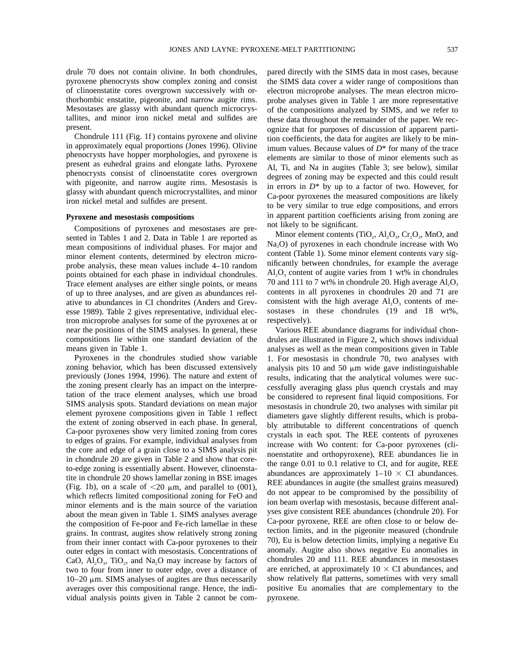drule 70 does not contain olivine. In both chondrules, pyroxene phenocrysts show complex zoning and consist of clinoenstatite cores overgrown successively with orthorhombic enstatite, pigeonite, and narrow augite rims. Mesostases are glassy with abundant quench microcrystallites, and minor iron nickel metal and sulfides are present.

Chondrule 111 (Fig. 1f ) contains pyroxene and olivine in approximately equal proportions (Jones 1996). Olivine phenocrysts have hopper morphologies, and pyroxene is present as euhedral grains and elongate laths. Pyroxene phenocrysts consist of clinoenstatite cores overgrown with pigeonite, and narrow augite rims. Mesostasis is glassy with abundant quench microcrystallites, and minor iron nickel metal and sulfides are present.

## **Pyroxene and mesostasis compositions**

Compositions of pyroxenes and mesostases are presented in Tables 1 and 2. Data in Table 1 are reported as mean compositions of individual phases. For major and minor element contents, determined by electron microprobe analysis, these mean values include 4–10 random points obtained for each phase in individual chondrules. Trace element analyses are either single points, or means of up to three analyses, and are given as abundances relative to abundances in CI chondrites (Anders and Grevesse 1989). Table 2 gives representative, individual electron microprobe analyses for some of the pyroxenes at or near the positions of the SIMS analyses. In general, these compositions lie within one standard deviation of the means given in Table 1.

Pyroxenes in the chondrules studied show variable zoning behavior, which has been discussed extensively previously (Jones 1994, 1996). The nature and extent of the zoning present clearly has an impact on the interpretation of the trace element analyses, which use broad SIMS analysis spots. Standard deviations on mean major element pyroxene compositions given in Table 1 reflect the extent of zoning observed in each phase. In general, Ca-poor pyroxenes show very limited zoning from cores to edges of grains. For example, individual analyses from the core and edge of a grain close to a SIMS analysis pit in chondrule 20 are given in Table 2 and show that coreto-edge zoning is essentially absent. However, clinoenstatite in chondrule 20 shows lamellar zoning in BSE images (Fig. 1b), on a scale of  $\langle 20 \mu \text{m}$ , and parallel to (001), which reflects limited compositional zoning for FeO and minor elements and is the main source of the variation about the mean given in Table 1. SIMS analyses average the composition of Fe-poor and Fe-rich lamellae in these grains. In contrast, augites show relatively strong zoning from their inner contact with Ca-poor pyroxenes to their outer edges in contact with mesostasis. Concentrations of CaO,  $\text{Al}_2\text{O}_3$ , TiO<sub>2</sub>, and Na<sub>2</sub>O may increase by factors of two to four from inner to outer edge, over a distance of  $10-20 \mu m$ . SIMS analyses of augites are thus necessarily averages over this compositional range. Hence, the individual analysis points given in Table 2 cannot be compared directly with the SIMS data in most cases, because the SIMS data cover a wider range of compositions than electron microprobe analyses. The mean electron microprobe analyses given in Table 1 are more representative of the compositions analyzed by SIMS, and we refer to these data throughout the remainder of the paper. We recognize that for purposes of discussion of apparent partition coefficients, the data for augites are likely to be minimum values. Because values of *D*\* for many of the trace elements are similar to those of minor elements such as Al, Ti, and Na in augites (Table 3; see below), similar degrees of zoning may be expected and this could result in errors in *D*\* by up to a factor of two. However, for Ca-poor pyroxenes the measured compositions are likely to be very similar to true edge compositions, and errors in apparent partition coefficients arising from zoning are not likely to be significant.

Minor element contents (TiO<sub>2</sub>,  $Al_2O_3$ ,  $Cr_2O_3$ , MnO, and  $Na<sub>2</sub>O$  of pyroxenes in each chondrule increase with Wo content (Table 1). Some minor element contents vary significantly between chondrules, for example the average  $Al_2O_3$  content of augite varies from 1 wt% in chondrules 70 and 111 to 7 wt% in chondrule 20. High average  $Al_2O_3$ contents in all pyroxenes in chondrules 20 and 71 are consistent with the high average  $Al_2O_3$  contents of mesostases in these chondrules (19 and 18 wt%, respectively).

Various REE abundance diagrams for individual chondrules are illustrated in Figure 2, which shows individual analyses as well as the mean compositions given in Table 1. For mesostasis in chondrule 70, two analyses with analysis pits 10 and 50  $\mu$ m wide gave indistinguishable results, indicating that the analytical volumes were successfully averaging glass plus quench crystals and may be considered to represent final liquid compositions. For mesostasis in chondrule 20, two analyses with similar pit diameters gave slightly different results, which is probably attributable to different concentrations of quench crystals in each spot. The REE contents of pyroxenes increase with Wo content: for Ca-poor pyroxenes (clinoenstatite and orthopyroxene), REE abundances lie in the range 0.01 to 0.1 relative to CI, and for augite, REE abundances are approximately  $1-10 \times CI$  abundances. REE abundances in augite (the smallest grains measured) do not appear to be compromised by the possibility of ion beam overlap with mesostasis, because different analyses give consistent REE abundances (chondrule 20). For Ca-poor pyroxene, REE are often close to or below detection limits, and in the pigeonite measured (chondrule 70), Eu is below detection limits, implying a negative Eu anomaly. Augite also shows negative Eu anomalies in chondrules 20 and 111. REE abundances in mesostases are enriched, at approximately  $10 \times CI$  abundances, and show relatively flat patterns, sometimes with very small positive Eu anomalies that are complementary to the pyroxene.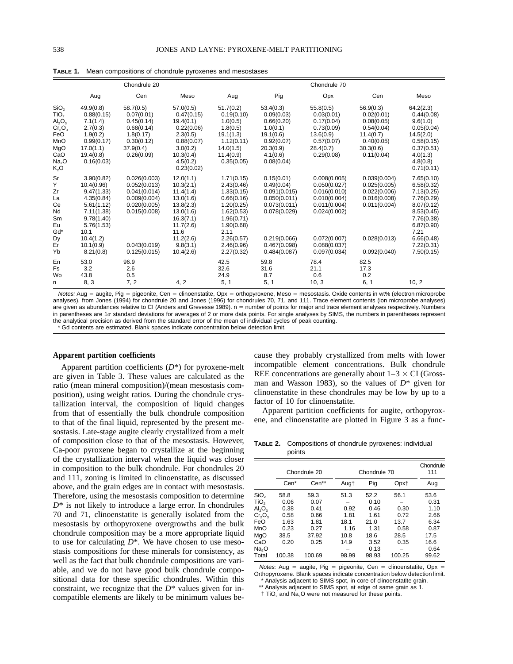|                                                                                                                                                                  |                                                                                                                                                             | Chondrule 20                                                                                                                 |                                                                                                                                                    | Chondrule 70                                                                                                                                                   |                                                                                                                                          |                                                                                                                                              |                                                                                                              |                                                                                                                                                                |
|------------------------------------------------------------------------------------------------------------------------------------------------------------------|-------------------------------------------------------------------------------------------------------------------------------------------------------------|------------------------------------------------------------------------------------------------------------------------------|----------------------------------------------------------------------------------------------------------------------------------------------------|----------------------------------------------------------------------------------------------------------------------------------------------------------------|------------------------------------------------------------------------------------------------------------------------------------------|----------------------------------------------------------------------------------------------------------------------------------------------|--------------------------------------------------------------------------------------------------------------|----------------------------------------------------------------------------------------------------------------------------------------------------------------|
|                                                                                                                                                                  | Aug                                                                                                                                                         | Cen                                                                                                                          | Meso                                                                                                                                               | Aug                                                                                                                                                            | Pig                                                                                                                                      | Opx                                                                                                                                          | Cen                                                                                                          | Meso                                                                                                                                                           |
| SiO <sub>2</sub><br>TiO <sub>2</sub><br>$\mathsf{Al}_2\mathsf{O}_3$<br>Cr <sub>2</sub> O <sub>3</sub><br>FeO<br>MnO<br>MgO<br>CaO<br>Na <sub>2</sub> O<br>$K_2O$ | 49.9(0.8)<br>0.88(0.15)<br>7.1(1.4)<br>2.7(0.3)<br>1.9(0.2)<br>0.99(0.17)<br>17.0(1.1)<br>19.4(0.8)<br>0.16(0.03)                                           | 58.7(0.5)<br>0.07(0.01)<br>0.45(0.14)<br>0.68(0.14)<br>1.8(0.17)<br>0.30(0.12)<br>37.9(0.4)<br>0.26(0.09)                    | 57.0(0.5)<br>0.47(0.15)<br>19.4(0.1)<br>0.22(0.06)<br>2.3(0.5)<br>0.88(0.07)<br>3.0(0.2)<br>10.3(0.4)<br>4.5(0.2)<br>0.23(0.02)                    | 51.7(0.2)<br>0.19(0.10)<br>1.0(0.5)<br>1.8(0.5)<br>19.1(1.3)<br>1.12(0.11)<br>14.0(1.5)<br>11.4(0.9)<br>0.35(0.05)                                             | 53.4(0.3)<br>0.09(0.03)<br>0.66(0.20)<br>1.0(0.1)<br>19.1(0.6)<br>0.92(0.07)<br>20.3(0.9)<br>4.1(0.6)<br>0.08(0.04)                      | 55.8(0.5)<br>0.03(0.01)<br>0.17(0.04)<br>0.73(0.09)<br>13.6(0.9)<br>0.57(0.07)<br>28.4(0.7)<br>0.29(0.08)                                    | 56.9(0.3)<br>0.02(0.01)<br>0.08(0.05)<br>0.54(0.04)<br>11.4(0.7)<br>0.40(0.05)<br>30.3(0.6)<br>0.11(0.04)    | 64.2(2.3)<br>0.44(0.08)<br>9.6(1.0)<br>0.05(0.04)<br>14.5(2.0)<br>0.58(0.15)<br>0.37(0.51)<br>4.0(1.3)<br>4.8(0.8)<br>0.71(0.11)                               |
| Sr<br>Y<br>Zr<br>La<br>Ce<br>Nd<br>Sm<br>Eu<br>Gd*<br>Dy<br>Er<br>Yb                                                                                             | 3.90(0.82)<br>10.4(0.96)<br>9.47(1.33)<br>4.35(0.84)<br>5.61(1.12)<br>7.11(1.38)<br>9.78(1.40)<br>5.76(1.53)<br>10.1<br>10.4(1.2)<br>10.1(0.9)<br>8.21(0.8) | 0.026(0.003)<br>0.052(0.013)<br>0.041(0.014)<br>0.009(0.004)<br>0.020(0.005)<br>0.015(0.008)<br>0.043(0.019)<br>0.125(0.015) | 12.0(1.1)<br>10.3(2.1)<br>11.4(1.4)<br>13.0(1.6)<br>13.8(2.3)<br>13.0(1.6)<br>16.3(7.1)<br>11.7(2.6)<br>11.6<br>11.2(2.6)<br>9.8(3.1)<br>10.4(2.6) | 1.71(0.15)<br>2.43(0.46)<br>1.33(0.15)<br>0.66(0.16)<br>1.20(0.25)<br>1.62(0.53)<br>1.96(0.71)<br>1.90(0.68)<br>2.11<br>2.26(0.57)<br>2.46(0.96)<br>2.27(0.32) | 0.15(0.01)<br>0.49(0.04)<br>0.091(0.015)<br>0.050(0.011)<br>0.073(0.011)<br>0.078(0.029)<br>0.219(0.066)<br>0.467(0.098)<br>0.484(0.087) | 0.008(0.005)<br>0.050(0.027)<br>0.016(0.010)<br>0.010(0.004)<br>0.011(0.004)<br>0.024(0.002)<br>0.072(0.007)<br>0.088(0.037)<br>0.097(0.034) | 0.039(0.004)<br>0.025(0.005)<br>0.022(0.006)<br>0.016(0.008)<br>0.011(0.004)<br>0.028(0.013)<br>0.092(0.040) | 7.65(0.10)<br>6.58(0.32)<br>7.13(0.25)<br>7.76(0.29)<br>8.07(0.12)<br>8.53(0.45)<br>7.76(0.38)<br>6.87(0.90)<br>7.21<br>6.66(0.48)<br>7.22(0.31)<br>7.50(0.15) |
| En<br>Fs<br>Wo<br>n                                                                                                                                              | 53.0<br>3.2<br>43.8<br>8, 3                                                                                                                                 | 96.9<br>2.6<br>0.5<br>7, 2                                                                                                   | 4, 2                                                                                                                                               | 42.5<br>32.6<br>24.9<br>5, 1                                                                                                                                   | 59.8<br>31.6<br>8.7<br>5, 1                                                                                                              | 78.4<br>21.1<br>0.6<br>10, 3                                                                                                                 | 82.5<br>17.3<br>0.2<br>6, 1                                                                                  | 10, 2                                                                                                                                                          |

**TABLE 1.** Mean compositions of chondrule pyroxenes and mesostases

Notes: Aug = augite, Pig = pigeonite, Cen = clinoenstatite, Opx = orthopyroxene, Meso = mesostasis. Oxide contents in wt% (electron microprobe analyses), from Jones (1994) for chondrule 20 and Jones (1996) for chondrules 70, 71, and 111. Trace element contents (ion microprobe analyses) are given as abundances relative to CI (Anders and Grevesse 1989). n = number of points for major and trace element analyses respectively. Numbers in parentheses are 1o standard deviations for averages of 2 or more data points. For single analyses by SIMS, the numbers in parentheses represent the analytical precision as derived from the standard error of the mean of individual cycles of peak counting.

Gd contents are estimated. Blank spaces indicate concentration below detection limit.

#### **Apparent partition coefficients**

Apparent partition coefficients (*D*\*) for pyroxene-melt are given in Table 3. These values are calculated as the ratio (mean mineral composition)/(mean mesostasis composition), using weight ratios. During the chondrule crystallization interval, the composition of liquid changes from that of essentially the bulk chondrule composition to that of the final liquid, represented by the present mesostasis. Late-stage augite clearly crystallized from a melt of composition close to that of the mesostasis. However, Ca-poor pyroxene began to crystallize at the beginning of the crystallization interval when the liquid was closer in composition to the bulk chondrule. For chondrules 20 and 111, zoning is limited in clinoenstatite, as discussed above, and the grain edges are in contact with mesostasis. Therefore, using the mesostasis composition to determine *D*\* is not likely to introduce a large error. In chondrules 70 and 71, clinoenstatite is generally isolated from the mesostasis by orthopyroxene overgrowths and the bulk chondrule composition may be a more appropriate liquid to use for calculating *D*\*. We have chosen to use mesostasis compositions for these minerals for consistency, as well as the fact that bulk chondrule compositions are variable, and we do not have good bulk chondrule compositional data for these specific chondrules. Within this constraint, we recognize that the *D*\* values given for incompatible elements are likely to be minimum values be-

cause they probably crystallized from melts with lower incompatible element concentrations. Bulk chondrule REE concentrations are generally about  $1-3 \times CI$  (Grossman and Wasson 1983), so the values of  $D^*$  given for clinoenstatite in these chondrules may be low by up to a factor of 10 for clinoenstatite.

Apparent partition coefficients for augite, orthopyroxene, and clinoenstatite are plotted in Figure 3 as a func-

**TABLE 2.** Compositions of chondrule pyroxenes: individual points

|                                |        | Chondrule 20 | Chondrule 70 | Chondrule<br>111 |        |       |
|--------------------------------|--------|--------------|--------------|------------------|--------|-------|
|                                | Cen*   | Cen**        | Augt         | Pig              | Opxt   | Aug   |
| SiO,                           | 58.8   | 59.3         | 51.3         | 52.2             | 56.1   | 53.6  |
| TiO <sub>2</sub>               | 0.06   | 0.07         |              | 0.10             |        | 0.31  |
| AI <sub>2</sub> O <sub>3</sub> | 0.38   | 0.41         | 0.92         | 0.46             | 0.30   | 1.10  |
| $Cr_2O_3$                      | 0.58   | 0.66         | 1.81         | 1.61             | 0.72   | 2.66  |
| FeO                            | 1.63   | 1.81         | 18.1         | 21.0             | 13.7   | 6.34  |
| MnO                            | 0.23   | 0.27         | 1.16         | 1.31             | 0.58   | 0.87  |
| MgO                            | 38.5   | 37.92        | 10.8         | 18.6             | 28.5   | 17.5  |
| CaO                            | 0.20   | 0.25         | 14.9         | 3.52             | 0.35   | 16.6  |
| Na,O                           |        |              |              | 0.13             |        | 0.64  |
| Total                          | 100.38 | 100.69       | 98.99        | 98.93            | 100.25 | 99.62 |

Notes: Aug = augite, Pig = pigeonite, Cen = clinoenstatite, Opx = Orthopyroxene. Blank spaces indicate concentration below detection limit.

Analysis adjacent to SIMS spot, in core of clinoenstatite grain.

\*\* Analysis adjacent to SIMS spot, at edge of same grain as 1.  $\dagger$  TiO<sub>2</sub> and Na<sub>2</sub>O were not measured for these points.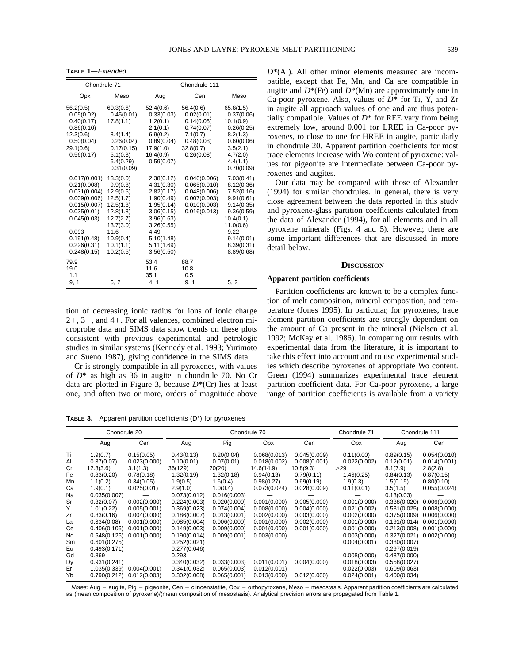**TABLE 1—**Extended

| Chondrule 71                                                                                                                                                    |                                                                                                                                                    | Chondrule 111                                                                                                                                                  |                                                                                                          |                                                                                                                                                              |  |  |
|-----------------------------------------------------------------------------------------------------------------------------------------------------------------|----------------------------------------------------------------------------------------------------------------------------------------------------|----------------------------------------------------------------------------------------------------------------------------------------------------------------|----------------------------------------------------------------------------------------------------------|--------------------------------------------------------------------------------------------------------------------------------------------------------------|--|--|
| Opx                                                                                                                                                             | Meso                                                                                                                                               | Aug                                                                                                                                                            | Cen                                                                                                      | Meso                                                                                                                                                         |  |  |
| 56.2(0.5)<br>0.05(0.02)<br>0.40(0.17)<br>0.86(0.10)<br>12.3(0.6)<br>0.50(0.04)<br>29.1(0.6)<br>0.56(0.17)                                                       | 60.3(0.6)<br>0.45(0.01)<br>17.8(1.1)<br>8.4(1.4)<br>0.26(0.04)<br>0.17(0.15)<br>5.1(0.3)<br>6.4(0.29)<br>0.31(0.09)                                | 52.4(0.6)<br>0.33(0.03)<br>1.2(0.1)<br>2.1(0.1)<br>6.9(0.2)<br>0.89(0.04)<br>17.9(1.0)<br>16.4(0.9)<br>0.59(0.07)                                              | 56.4(0.6)<br>0.02(0.01)<br>0.14(0.05)<br>0.74(0.07)<br>7.1(0.7)<br>0.48(0.08)<br>32.8(0.7)<br>0.26(0.08) | 65.8(1.5)<br>0.37(0.06)<br>10.1(0.9)<br>0.26(0.25)<br>8.2(1.3)<br>0.60(0.06)<br>3.5(2.1)<br>4.7(2.0)<br>4.4(1.1)<br>0.70(0.09)                               |  |  |
| 0.017(0.001)<br>0.21(0.008)<br>0.031(0.004)<br>0.009(0.006)<br>0.015(0.007)<br>0.035(0.01)<br>0.045(0.03)<br>0.093<br>0.191(0.48)<br>0.226(0.31)<br>0.248(0.15) | 13.3(0.0)<br>9.9(0.8)<br>12.9(0.5)<br>12.5(1.7)<br>12.5(1.8)<br>12.8(1.8)<br>12.7(2.7)<br>13.7(3.0)<br>11.6<br>10.9(0.4)<br>10.1(1.1)<br>10.2(0.5) | 2.38(0.12)<br>4.31(0.30)<br>2.82(0.17)<br>1.90(0.49)<br>1.95(0.14)<br>3.06(0.15)<br>3.96(0.63)<br>3.26(0.55)<br>4.49<br>5.10(1.48)<br>5.11(1.69)<br>3.56(0.50) | 0.046(0.006)<br>0.065(0.010)<br>0.048(0.006)<br>0.007(0.003)<br>0.010(0.003)<br>0.016(0.013)             | 7.03(0.41)<br>8.12(0.36)<br>7.52(0.16)<br>9.91(0.61)<br>9.14(0.35)<br>9.36(0.59)<br>10.4(0.1)<br>11.0(0.6)<br>9.22<br>9.14(0.01)<br>8.39(0.31)<br>8.89(0.68) |  |  |
| 79.9<br>19.0<br>1.1<br>9, 1                                                                                                                                     | 6, 2                                                                                                                                               | 53.4<br>11.6<br>35.1<br>4, 1                                                                                                                                   | 88.7<br>10.8<br>0.5<br>9, 1                                                                              | 5, 2                                                                                                                                                         |  |  |

tion of decreasing ionic radius for ions of ionic charge  $2+$ ,  $3+$ , and  $4+$ . For all valences, combined electron microprobe data and SIMS data show trends on these plots consistent with previous experimental and petrologic studies in similar systems (Kennedy et al. 1993; Yurimoto and Sueno 1987), giving confidence in the SIMS data.

Cr is strongly compatible in all pyroxenes, with values of *D*\* as high as 36 in augite in chondrule 70. No Cr data are plotted in Figure 3, because *D*\*(Cr) lies at least one, and often two or more, orders of magnitude above

**TABLE 3.** Apparent partition coefficients (D\*) for pyroxenes

*D*\*(Al). All other minor elements measured are incompatible, except that Fe, Mn, and Ca are compatible in augite and  $D^*(Fe)$  and  $D^*(Mn)$  are approximately one in Ca-poor pyroxene. Also, values of *D*\* for Ti, Y, and Zr in augite all approach values of one and are thus potentially compatible. Values of *D*\* for REE vary from being extremely low, around 0.001 for LREE in Ca-poor pyroxenes, to close to one for HREE in augite, particularly in chondrule 20. Apparent partition coefficients for most trace elements increase with Wo content of pyroxene: values for pigeonite are intermediate between Ca-poor pyroxenes and augites.

Our data may be compared with those of Alexander (1994) for similar chondrules. In general, there is very close agreement between the data reported in this study and pyroxene-glass partition coefficients calculated from the data of Alexander (1994), for all elements and in all pyroxene minerals (Figs. 4 and 5). However, there are some important differences that are discussed in more detail below.

## **DISCUSSION**

## **Apparent partition coefficients**

Partition coefficients are known to be a complex function of melt composition, mineral composition, and temperature (Jones 1995). In particular, for pyroxenes, trace element partition coefficients are strongly dependent on the amount of Ca present in the mineral (Nielsen et al. 1992; McKay et al. 1986). In comparing our results with experimental data from the literature, it is important to take this effect into account and to use experimental studies which describe pyroxenes of appropriate Wo content. Green (1994) summarizes experimental trace element partition coefficient data. For Ca-poor pyroxene, a large range of partition coefficients is available from a variety

|                                                                                                                                                                                                                                                                                    | Chondrule 20 |              | Chondrule 70 |              |              |              | Chondrule 71 | Chondrule 111 |              |
|------------------------------------------------------------------------------------------------------------------------------------------------------------------------------------------------------------------------------------------------------------------------------------|--------------|--------------|--------------|--------------|--------------|--------------|--------------|---------------|--------------|
|                                                                                                                                                                                                                                                                                    | Aug          | Cen          | Aug          | Pig          | Opx          | Cen          | Opx          | Aug           | Cen          |
| Τi                                                                                                                                                                                                                                                                                 | 1.9(0.7)     | 0.15(0.05)   | 0.43(0.13)   | 0.20(0.04)   | 0.068(0.013) | 0.045(0.009) | 0.11(0.00)   | 0.89(0.15)    | 0.054(0.010) |
| Al                                                                                                                                                                                                                                                                                 | 0.37(0.07)   | 0.023(0.000) | 0.10(0.01)   | 0.07(0.01)   | 0.018(0.002) | 0.008(0.001) | 0.022(0.002) | 0.12(0.01)    | 0.014(0.001) |
| Cr                                                                                                                                                                                                                                                                                 | 12.3(3.6)    | 3.1(1.3)     | 36(129)      | 20(20)       | 14.6(14.9)   | 10.8(9.3)    | >29          | 8.1(7.9)      | 2.8(2.8)     |
| Fe                                                                                                                                                                                                                                                                                 | 0.83(0.20)   | 0.78(0.18)   | 1.32(0.19)   | 1.32(0.18)   | 0.94(0.13)   | 0.79(0.11)   | 1.46(0.25)   | 0.84(0.13)    | 0.87(0.15)   |
| Mn                                                                                                                                                                                                                                                                                 | 1.1(0.2)     | 0.34(0.05)   | 1.9(0.5)     | 1.6(0.4)     | 0.98(0.27)   | 0.69(0.19)   | 1.9(0.3)     | 1.5(0.15)     | 0.80(0.10)   |
| Ca                                                                                                                                                                                                                                                                                 | 1.9(0.1)     | 0.025(0.01)  | 2.9(1.0)     | 1.0(0.4)     | 0.073(0.024) | 0.028(0.009) | 0.11(0.01)   | 3.5(1.5)      | 0.055(0.024) |
| Na                                                                                                                                                                                                                                                                                 | 0.035(0.007) |              | 0.073(0.012) | 0.016(0.003) |              |              |              | 0.13(0.03)    |              |
| Sr                                                                                                                                                                                                                                                                                 | 0.32(0.07)   | 0.002(0.000) | 0.224(0.003) | 0.020(0.000) | 0.001(0.000) | 0.005(0.000) | 0.001(0.000) | 0.338(0.020)  | 0.006(0.000) |
| Y                                                                                                                                                                                                                                                                                  | 1.01(0.22)   | 0.005(0.001) | 0.369(0.023) | 0.074(0.004) | 0.008(0.000) | 0.004(0.000) | 0.021(0.002) | 0.531(0.025)  | 0.008(0.000) |
| Zr                                                                                                                                                                                                                                                                                 | 0.83(0.16)   | 0.004(0.000) | 0.186(0.007) | 0.013(0.001) | 0.002(0.000) | 0.003(0.000) | 0.002(0.000) | 0.375(0.009)  | 0.006(0.000) |
| La                                                                                                                                                                                                                                                                                 | 0.334(0.08)  | 0.001(0.000) | 0.085(0.004) | 0.006(0.000) | 0.001(0.000) | 0.002(0.000) | 0.001(0.000) | 0.191(0.014)  | 0.001(0.000) |
| Ce                                                                                                                                                                                                                                                                                 | 0.406(0.106) | 0.001(0.000) | 0.149(0.003) | 0.009(0.000) | 0.001(0.000) | 0.001(0.000) | 0.001(0.000) | 0.213(0.008)  | 0.001(0.000) |
| Nd                                                                                                                                                                                                                                                                                 | 0.548(0.126) | 0.001(0.000) | 0.190(0.014) | 0.009(0.001) | 0.003(0.000) |              | 0.003(0.000) | 0.327(0.021)  | 0.002(0.000) |
| Sm                                                                                                                                                                                                                                                                                 | 0.601(0.275) |              | 0.252(0.021) |              |              |              | 0.004(0.001) | 0.380(0.007)  |              |
| Eu                                                                                                                                                                                                                                                                                 | 0.493(0.171) |              | 0.277(0.046) |              |              |              |              | 0.297(0.019)  |              |
| Gd                                                                                                                                                                                                                                                                                 | 0.869        |              | 0.293        |              |              |              | 0.008(0.000) | 0.487(0.000)  |              |
| Dy                                                                                                                                                                                                                                                                                 | 0.931(0.241) |              | 0.340(0.032) | 0.033(0.003) | 0.011(0.001) | 0.004(0.000) | 0.018(0.003) | 0.558(0.027)  |              |
| Er                                                                                                                                                                                                                                                                                 | 1.035(0.339) | 0.004(0.001) | 0.341(0.032) | 0.065(0.003) | 0.012(0.001) |              | 0.022(0.003) | 0.609(0.063)  |              |
| Yb                                                                                                                                                                                                                                                                                 | 0.790(0.212) | 0.012(0.003) | 0.302(0.008) | 0.065(0.001) | 0.013(0.000) | 0.012(0.000) | 0.024(0.001) | 0.400(0.034)  |              |
| Notes: Aug = augite, Pig = pigeonite, Cen = clinoenstatite, Opx = orthopyroxene, Meso = mesostasis. Apparent partition coefficients are calculated<br>as (mean composition of pyroxene)/(mean composition of mesostasis). Analytical precision errors are propagated from Table 1. |              |              |              |              |              |              |              |               |              |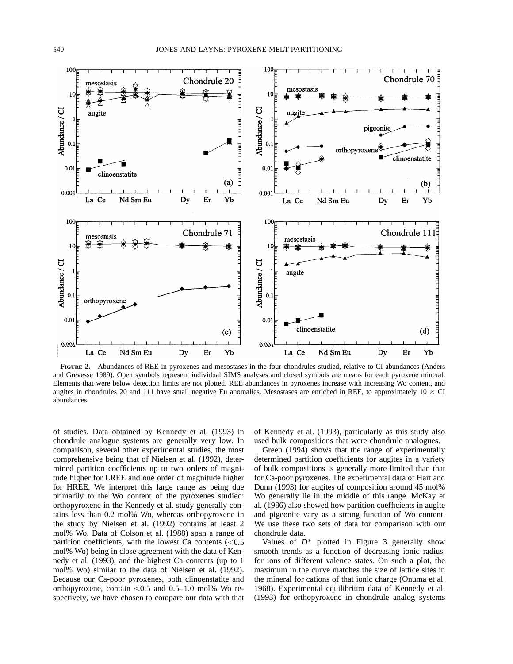

**FIGURE 2.** Abundances of REE in pyroxenes and mesostases in the four chondrules studied, relative to CI abundances (Anders and Grevesse 1989). Open symbols represent individual SIMS analyses and closed symbols are means for each pyroxene mineral. Elements that were below detection limits are not plotted. REE abundances in pyroxenes increase with increasing Wo content, and augites in chondrules 20 and 111 have small negative Eu anomalies. Mesostases are enriched in REE, to approximately  $10 \times CI$ abundances.

of studies. Data obtained by Kennedy et al. (1993) in chondrule analogue systems are generally very low. In comparison, several other experimental studies, the most comprehensive being that of Nielsen et al. (1992), determined partition coefficients up to two orders of magnitude higher for LREE and one order of magnitude higher for HREE. We interpret this large range as being due primarily to the Wo content of the pyroxenes studied: orthopyroxene in the Kennedy et al. study generally contains less than 0.2 mol% Wo, whereas orthopyroxene in the study by Nielsen et al. (1992) contains at least 2 mol% Wo. Data of Colson et al. (1988) span a range of partition coefficients, with the lowest Ca contents  $(< 0.5$ mol% Wo) being in close agreement with the data of Kennedy et al. (1993), and the highest Ca contents (up to 1 mol% Wo) similar to the data of Nielsen et al. (1992). Because our Ca-poor pyroxenes, both clinoenstatite and orthopyroxene, contain  $< 0.5$  and 0.5–1.0 mol% Wo respectively, we have chosen to compare our data with that

of Kennedy et al. (1993), particularly as this study also used bulk compositions that were chondrule analogues.

Green (1994) shows that the range of experimentally determined partition coefficients for augites in a variety of bulk compositions is generally more limited than that for Ca-poor pyroxenes. The experimental data of Hart and Dunn (1993) for augites of composition around 45 mol% Wo generally lie in the middle of this range. McKay et al. (1986) also showed how partition coefficients in augite and pigeonite vary as a strong function of Wo content. We use these two sets of data for comparison with our chondrule data.

Values of  $D^*$  plotted in Figure 3 generally show smooth trends as a function of decreasing ionic radius, for ions of different valence states. On such a plot, the maximum in the curve matches the size of lattice sites in the mineral for cations of that ionic charge (Onuma et al. 1968). Experimental equilibrium data of Kennedy et al. (1993) for orthopyroxene in chondrule analog systems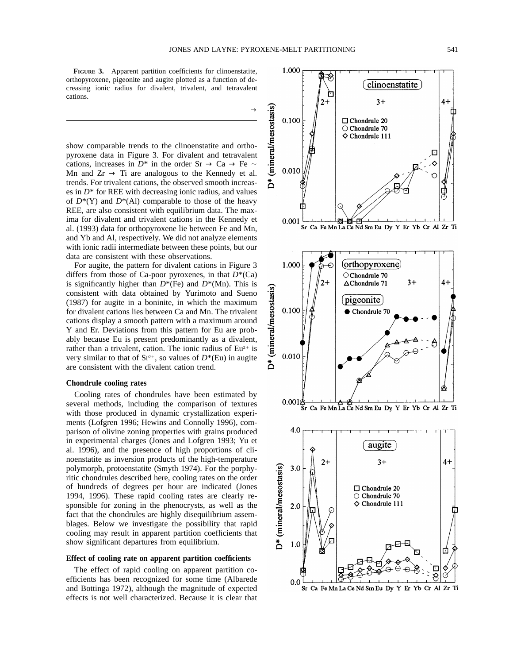$\rightarrow$ 

**FIGURE 3.** Apparent partition coefficients for clinoenstatite, orthopyroxene, pigeonite and augite plotted as a function of decreasing ionic radius for divalent, trivalent, and tetravalent cations.

show comparable trends to the clinoenstatite and orthopyroxene data in Figure 3. For divalent and tetravalent cations, increases in  $D^*$  in the order Sr  $\rightarrow$  Ca  $\rightarrow$  Fe  $\sim$ Mn and  $Zr \rightarrow Ti$  are analogous to the Kennedy et al. trends. For trivalent cations, the observed smooth increases in  $D^*$  for REE with decreasing ionic radius, and values of  $D^*(Y)$  and  $D^*(A)$  comparable to those of the heavy REE, are also consistent with equilibrium data. The maxima for divalent and trivalent cations in the Kennedy et al. (1993) data for orthopyroxene lie between Fe and Mn, and Yb and Al, respectively. We did not analyze elements with ionic radii intermediate between these points, but our data are consistent with these observations.

For augite, the pattern for divalent cations in Figure 3 differs from those of Ca-poor pyroxenes, in that *D*\*(Ca) is significantly higher than  $D^*(Fe)$  and  $D^*(Mn)$ . This is consistent with data obtained by Yurimoto and Sueno (1987) for augite in a boninite, in which the maximum for divalent cations lies between Ca and Mn. The trivalent cations display a smooth pattern with a maximum around Y and Er. Deviations from this pattern for Eu are probably because Eu is present predominantly as a divalent, rather than a trivalent, cation. The ionic radius of  $Eu^{2+}$  is very similar to that of  $Sr^{2+}$ , so values of  $D^*(Eu)$  in augite are consistent with the divalent cation trend.

## **Chondrule cooling rates**

Cooling rates of chondrules have been estimated by several methods, including the comparison of textures with those produced in dynamic crystallization experiments (Lofgren 1996; Hewins and Connolly 1996), comparison of olivine zoning properties with grains produced in experimental charges (Jones and Lofgren 1993; Yu et al. 1996), and the presence of high proportions of clinoenstatite as inversion products of the high-temperature polymorph, protoenstatite (Smyth 1974). For the porphyritic chondrules described here, cooling rates on the order of hundreds of degrees per hour are indicated (Jones 1994, 1996). These rapid cooling rates are clearly responsible for zoning in the phenocrysts, as well as the fact that the chondrules are highly disequilibrium assemblages. Below we investigate the possibility that rapid cooling may result in apparent partition coefficients that show significant departures from equilibrium.

## **Effect of cooling rate on apparent partition coefficients**

The effect of rapid cooling on apparent partition coefficients has been recognized for some time (Albarede and Bottinga 1972), although the magnitude of expected effects is not well characterized. Because it is clear that

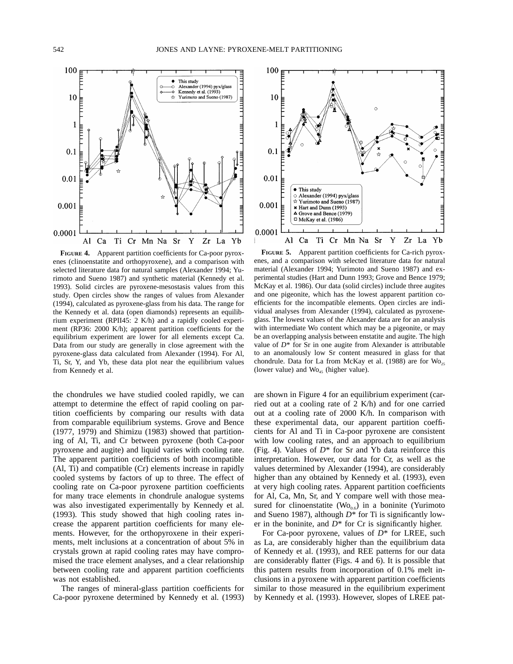

**FIGURE 4.** Apparent partition coefficients for Ca-poor pyroxenes (clinoenstatite and orthopyroxene), and a comparison with selected literature data for natural samples (Alexander 1994; Yurimoto and Sueno 1987) and synthetic material (Kennedy et al. 1993). Solid circles are pyroxene-mesostasis values from this study. Open circles show the ranges of values from Alexander (1994), calculated as pyroxene-glass from his data. The range for the Kennedy et al. data (open diamonds) represents an equilibrium experiment (RPII45: 2 K/h) and a rapidly cooled experiment (RP36: 2000 K/h); apparent partition coefficients for the equilibrium experiment are lower for all elements except Ca. Data from our study are generally in close agreement with the pyroxene-glass data calculated from Alexander (1994). For Al, Ti, Sr, Y, and Yb, these data plot near the equilibrium values from Kennedy et al.

the chondrules we have studied cooled rapidly, we can attempt to determine the effect of rapid cooling on partition coefficients by comparing our results with data from comparable equilibrium systems. Grove and Bence (1977, 1979) and Shimizu (1983) showed that partitioning of Al, Ti, and Cr between pyroxene (both Ca-poor pyroxene and augite) and liquid varies with cooling rate. The apparent partition coefficients of both incompatible (Al, Ti) and compatible (Cr) elements increase in rapidly cooled systems by factors of up to three. The effect of cooling rate on Ca-poor pyroxene partition coefficients for many trace elements in chondrule analogue systems was also investigated experimentally by Kennedy et al. (1993). This study showed that high cooling rates increase the apparent partition coefficients for many elements. However, for the orthopyroxene in their experiments, melt inclusions at a concentration of about 5% in crystals grown at rapid cooling rates may have compromised the trace element analyses, and a clear relationship between cooling rate and apparent partition coefficients was not established.

The ranges of mineral-glass partition coefficients for Ca-poor pyroxene determined by Kennedy et al. (1993)



**FIGURE 5.** Apparent partition coefficients for Ca-rich pyroxenes, and a comparison with selected literature data for natural material (Alexander 1994; Yurimoto and Sueno 1987) and experimental studies (Hart and Dunn 1993; Grove and Bence 1979; McKay et al. 1986). Our data (solid circles) include three augites and one pigeonite, which has the lowest apparent partition coefficients for the incompatible elements. Open circles are individual analyses from Alexander (1994), calculated as pyroxeneglass. The lowest values of the Alexander data are for an analysis with intermediate Wo content which may be a pigeonite, or may be an overlapping analysis between enstatite and augite. The high value of *D*\* for Sr in one augite from Alexander is attributable to an anomalously low Sr content measured in glass for that chondrule. Data for La from McKay et al. (1988) are for  $W_{O_{25}}$ (lower value) and  $W_{{0}_{45}}$  (higher value).

are shown in Figure 4 for an equilibrium experiment (carried out at a cooling rate of 2 K/h) and for one carried out at a cooling rate of 2000 K/h. In comparison with these experimental data, our apparent partition coefficients for Al and Ti in Ca-poor pyroxene are consistent with low cooling rates, and an approach to equilibrium (Fig. 4). Values of *D*\* for Sr and Yb data reinforce this interpretation. However, our data for Cr, as well as the values determined by Alexander (1994), are considerably higher than any obtained by Kennedy et al. (1993), even at very high cooling rates. Apparent partition coefficients for Al, Ca, Mn, Sr, and Y compare well with those measured for clinoenstatite ( $Wo<sub>0.6</sub>$ ) in a boninite (Yurimoto and Sueno 1987), although *D*\* for Ti is significantly lower in the boninite, and *D*\* for Cr is significantly higher.

For Ca-poor pyroxene, values of *D*\* for LREE, such as La, are considerably higher than the equilibrium data of Kennedy et al. (1993), and REE patterns for our data are considerably flatter (Figs. 4 and 6). It is possible that this pattern results from incorporation of 0.1% melt inclusions in a pyroxene with apparent partition coefficients similar to those measured in the equilibrium experiment by Kennedy et al. (1993). However, slopes of LREE pat-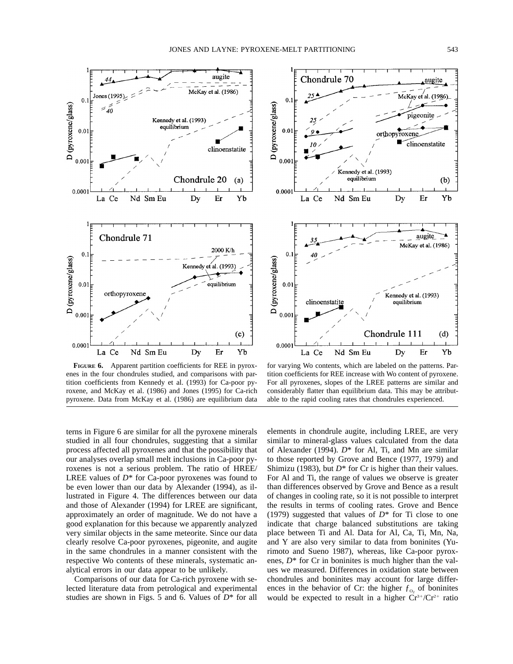



**FIGURE 6.** Apparent partition coefficients for REE in pyroxenes in the four chondrules studied, and comparisons with partition coefficients from Kennedy et al. (1993) for Ca-poor pyroxene, and McKay et al. (1986) and Jones (1995) for Ca-rich pyroxene. Data from McKay et al. (1986) are equilibrium data

for varying Wo contents, which are labeled on the patterns. Partition coefficients for REE increase with Wo content of pyroxene. For all pyroxenes, slopes of the LREE patterns are similar and considerably flatter than equilibrium data. This may be attributable to the rapid cooling rates that chondrules experienced.

terns in Figure 6 are similar for all the pyroxene minerals studied in all four chondrules, suggesting that a similar process affected all pyroxenes and that the possibility that our analyses overlap small melt inclusions in Ca-poor pyroxenes is not a serious problem. The ratio of HREE/ LREE values of *D*\* for Ca-poor pyroxenes was found to be even lower than our data by Alexander (1994), as illustrated in Figure 4. The differences between our data and those of Alexander (1994) for LREE are significant, approximately an order of magnitude. We do not have a good explanation for this because we apparently analyzed very similar objects in the same meteorite. Since our data clearly resolve Ca-poor pyroxenes, pigeonite, and augite in the same chondrules in a manner consistent with the respective Wo contents of these minerals, systematic analytical errors in our data appear to be unlikely.

Comparisons of our data for Ca-rich pyroxene with selected literature data from petrological and experimental studies are shown in Figs. 5 and 6. Values of *D*\* for all elements in chondrule augite, including LREE, are very similar to mineral-glass values calculated from the data of Alexander (1994). *D*\* for Al, Ti, and Mn are similar to those reported by Grove and Bence (1977, 1979) and Shimizu (1983), but *D*\* for Cr is higher than their values. For Al and Ti, the range of values we observe is greater than differences observed by Grove and Bence as a result of changes in cooling rate, so it is not possible to interpret the results in terms of cooling rates. Grove and Bence (1979) suggested that values of  $D^*$  for Ti close to one indicate that charge balanced substitutions are taking place between Ti and Al. Data for Al, Ca, Ti, Mn, Na, and Y are also very similar to data from boninites (Yurimoto and Sueno 1987), whereas, like Ca-poor pyroxenes,  $D^*$  for Cr in boninites is much higher than the values we measured. Differences in oxidation state between chondrules and boninites may account for large differences in the behavior of Cr: the higher  $f_{\text{o}_2}$  of boninites would be expected to result in a higher  $Cr^{3+}/Cr^{2+}$  ratio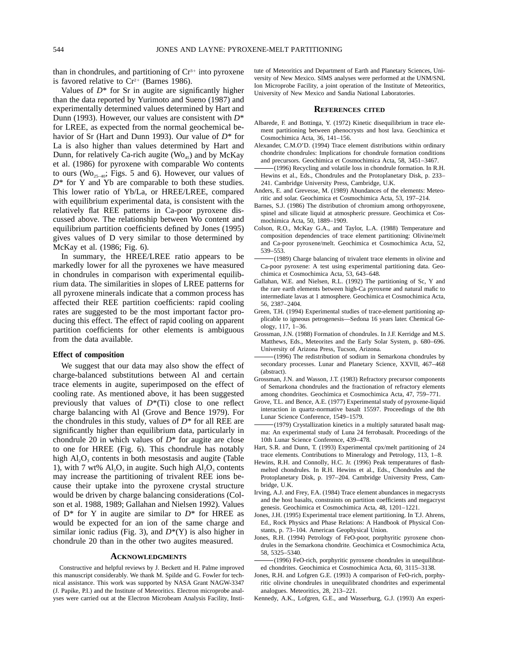than in chondrules, and partitioning of  $Cr<sup>3+</sup>$  into pyroxene is favored relative to  $Cr^{2+}$  (Barnes 1986).

Values of  $D^*$  for Sr in augite are significantly higher than the data reported by Yurimoto and Sueno (1987) and experimentally determined values determined by Hart and Dunn (1993). However, our values are consistent with *D*\* for LREE, as expected from the normal geochemical behavior of Sr (Hart and Dunn 1993). Our value of *D*\* for La is also higher than values determined by Hart and Dunn, for relatively Ca-rich augite ( $W_{O<sub>45</sub>}$ ) and by McKay et al. (1986) for pyroxene with comparable Wo contents to ours ( $W_0$ <sub>25–40</sub>; Figs. 5 and 6). However, our values of *D*\* for Y and Yb are comparable to both these studies. This lower ratio of Yb/La, or HREE/LREE, compared with equilibrium experimental data, is consistent with the relatively flat REE patterns in Ca-poor pyroxene discussed above. The relationship between Wo content and equilibrium partition coefficients defined by Jones (1995) gives values of D very similar to those determined by McKay et al. (1986; Fig. 6).

In summary, the HREE/LREE ratio appears to be markedly lower for all the pyroxenes we have measured in chondrules in comparison with experimental equilibrium data. The similarities in slopes of LREE patterns for all pyroxene minerals indicate that a common process has affected their REE partition coefficients: rapid cooling rates are suggested to be the most important factor producing this effect. The effect of rapid cooling on apparent partition coefficients for other elements is ambiguous from the data available.

# **Effect of composition**

We suggest that our data may also show the effect of charge-balanced substitutions between Al and certain trace elements in augite, superimposed on the effect of cooling rate. As mentioned above, it has been suggested previously that values of *D*\*(Ti) close to one reflect charge balancing with Al (Grove and Bence 1979). For the chondrules in this study, values of  $D^*$  for all REE are significantly higher than equilibrium data, particularly in chondrule 20 in which values of  $D^*$  for augite are close to one for HREE (Fig. 6). This chondrule has notably high  $AI_2O_3$  contents in both mesostasis and augite (Table 1), with 7 wt%  $AI_2O_3$  in augite. Such high  $AI_2O_3$  contents may increase the partitioning of trivalent REE ions because their uptake into the pyroxene crystal structure would be driven by charge balancing considerations (Colson et al. 1988, 1989; Gallahan and Nielsen 1992). Values of  $D^*$  for Y in augite are similar to  $D^*$  for HREE as would be expected for an ion of the same charge and similar ionic radius (Fig. 3), and  $D^*(Y)$  is also higher in chondrule 20 than in the other two augites measured.

#### **ACKNOWLEDGMENTS**

Constructive and helpful reviews by J. Beckett and H. Palme improved this manuscript considerably. We thank M. Spilde and G. Fowler for technical assistance. This work was supported by NASA Grant NAGW-3347 (J. Papike, P.I.) and the Institute of Meteoritics. Electron microprobe analyses were carried out at the Electron Microbeam Analysis Facility, Institute of Meteoritics and Department of Earth and Planetary Sciences, University of New Mexico. SIMS analyses were performed at the UNM/SNL Ion Microprobe Facility, a joint operation of the Institute of Meteoritics, University of New Mexico and Sandia National Laboratories.

#### **REFERENCES CITED**

- Albarede, F. and Bottinga, Y. (1972) Kinetic disequilibrium in trace element partitioning between phenocrysts and host lava. Geochimica et Cosmochimica Acta, 36, 141–156.
- Alexander, C.M.O'D. (1994) Trace element distributions within ordinary chondrite chondrules: Implications for chondrule formation conditions and precursors. Geochimica et Cosmochimica Acta, 58, 3451–3467.
- (1996) Recycling and volatile loss in chondrule formation. In R.H. Hewins et al., Eds., Chondrules and the Protoplanetary Disk, p. 233– 241. Cambridge University Press, Cambridge, U.K.
- Anders, E. and Grevesse, M. (1989) Abundances of the elements: Meteoritic and solar. Geochimica et Cosmochimica Acta, 53, 197–214.
- Barnes, S.J. (1986) The distribution of chromium among orthopyroxene, spinel and silicate liquid at atmospheric pressure. Geochimica et Cosmochimica Acta, 50, 1889–1909.
- Colson, R.O., McKay G.A., and Taylor, L.A. (1988) Temperature and composition dependencies of trace element partitioning: Olivine/melt and Ca-poor pyroxene/melt. Geochimica et Cosmochimica Acta, 52, 539–553.
- (1989) Charge balancing of trivalent trace elements in olivine and Ca-poor pyroxene: A test using experimental partitioning data. Geochimica et Cosmochimica Acta, 53, 643–648.
- Gallahan, W.E. and Nielsen, R.L. (1992) The partitioning of Sc, Y and the rare earth elements between high-Ca pyroxene and natural mafic to intermediate lavas at 1 atmosphere. Geochimica et Cosmochimica Acta, 56, 2387–2404.
- Green, T.H. (1994) Experimental studies of trace-element partitioning applicable to igneous petrogenesis—Sedona 16 years later. Chemical Geology, 117, 1–36.
- Grossman, J.N. (1988) Formation of chondrules. In J.F. Kerridge and M.S. Matthews, Eds., Meteorites and the Early Solar System, p. 680–696. University of Arizona Press, Tucson, Arizona.
- (1996) The redistribution of sodium in Semarkona chondrules by secondary processes. Lunar and Planetary Science, XXVII, 467–468 (abstract).
- Grossman, J.N. and Wasson, J.T. (1983) Refractory precursor components of Semarkona chondrules and the fractionation of refractory elements among chondrites. Geochimica et Cosmochimica Acta, 47, 759–771.
- Grove, T.L. and Bence, A.E. (1977) Experimental study of pyroxene-liquid interaction in quartz-normative basalt 15597. Proceedings of the 8th Lunar Science Conference, 1549–1579.
- (1979) Crystallization kinetics in a multiply saturated basalt magma: An experimental study of Luna 24 ferrobasalt. Proceedings of the 10th Lunar Science Conference, 439–478.
- Hart, S.R. and Dunn, T. (1993) Experimental cpx/melt partitioning of 24 trace elements. Contributions to Mineralogy and Petrology, 113, 1–8.
- Hewins, R.H. and Connolly, H.C. Jr. (1996) Peak temperatures of flashmelted chondrules. In R.H. Hewins et al., Eds., Chondrules and the Protoplanetary Disk, p. 197–204. Cambridge University Press, Cambridge, U.K.
- Irving, A.J. and Frey, F.A. (1984) Trace element abundances in megacrysts and the host basalts, constraints on partition coefficients and megacryst genesis. Geochimica et Cosmochimica Acta, 48, 1201–1221.
- Jones, J.H. (1995) Experimental trace element partitioning. In T.J. Ahrens, Ed., Rock Physics and Phase Relations: A Handbook of Physical Constants, p. 73–104. American Geophysical Union.
- Jones, R.H. (1994) Petrology of FeO-poor, porphyritic pyroxene chondrules in the Semarkona chondrite*.* Geochimica et Cosmochimica Acta, 58, 5325–5340.
- (1996) FeO-rich, porphyritic pyroxene chondrules in unequilibrated chondrites. Geochimica et Cosmochimica Acta, 60, 3115–3138*.*
- Jones, R.H. and Lofgren G.E. (1993) A comparison of FeO-rich, porphyritic olivine chondrules in unequilibrated chondrites and experimental analogues. Meteoritics, 28, 213–221.
- Kennedy, A.K., Lofgren, G.E., and Wasserburg, G.J. (1993) An experi-